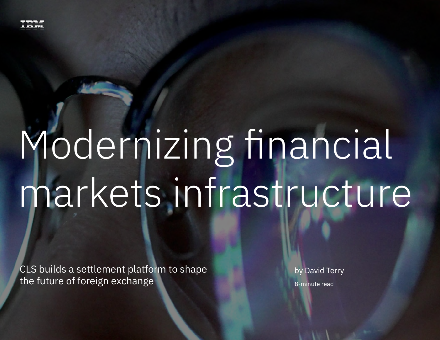

# Modernizing financial markets infrastructure

CLS builds a settlement platform to shape the future of foreign exchange

by David Terry 8-minute read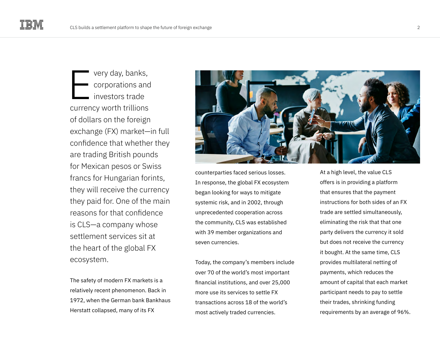very day, banks, corporations and investors trade currency worth trillions of dollars on the foreign exchange (FX) market—in full confidence that whether they are trading British pounds for Mexican pesos or Swiss francs for Hungarian forints, they will receive the currency they paid for. One of the main reasons for that confidence is CLS—a company whose settlement services sit at the heart of the global FX ecosystem. E

The safety of modern FX markets is a relatively recent phenomenon. Back in 1972, when the German bank Bankhaus Herstatt collapsed, many of its FX



counterparties faced serious losses. In response, the global FX ecosystem began looking for ways to mitigate systemic risk, and in 2002, through unprecedented cooperation across the community, CLS was established with 39 member organizations and seven currencies.

Today, the company's members include over 70 of the world's most important financial institutions, and over 25,000 more use its services to settle FX transactions across 18 of the world's most actively traded currencies.

At a high level, the value CLS offers is in providing a platform that ensures that the payment instructions for both sides of an FX trade are settled simultaneously, eliminating the risk that that one party delivers the currency it sold but does not receive the currency it bought. At the same time, CLS provides multilateral netting of payments, which reduces the amount of capital that each market participant needs to pay to settle their trades, shrinking funding requirements by an average of 96%.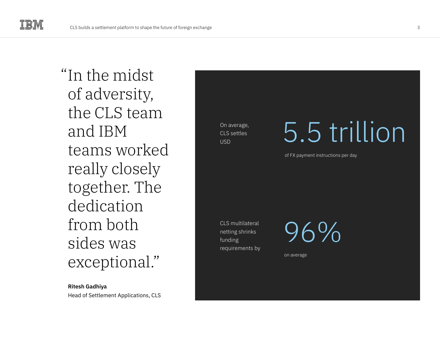"In the midst of adversity, the CLS team and IBM teams worked really closely together. The dedication from both sides was exceptional."

### **Ritesh Gadhiya**

Head of Settlement Applications, CLS

On average, CLS settles USD

### 5.5 trillion

of FX payment instructions per day

CLS multilateral netting shrinks funding requirements by 96%

on average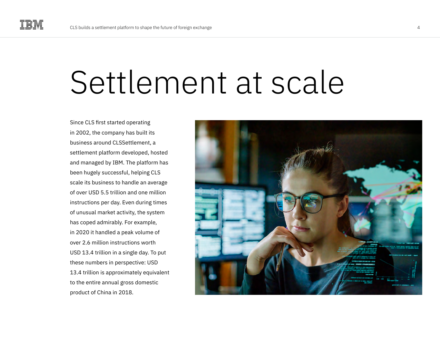### Settlement at scale

Since CLS first started operating in 2002, the company has built its business around CLSSettlement, a settlement platform developed, hosted and managed by IBM. The platform has been hugely successful, helping CLS scale its business to handle an average of over USD 5.5 trillion and one million instructions per day. Even during times of unusual market activity, the system has coped admirably. For example, in 2020 it handled a peak volume of over 2.6 million instructions worth USD 13.4 trillion in a single day. To put these numbers in perspective: USD 13.4 trillion is approximately equivalent to the entire annual gross domestic product of China in 2018.

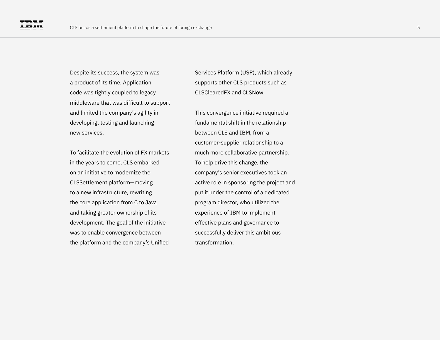Despite its success, the system was a product of its time. Application code was tightly coupled to legacy middleware that was difficult to support and limited the company's agility in developing, testing and launching new services.

To facilitate the evolution of FX markets in the years to come, CLS embarked on an initiative to modernize the CLSSettlement platform—moving to a new infrastructure, rewriting the core application from C to Java and taking greater ownership of its development. The goal of the initiative was to enable convergence between the platform and the company's Unified

Services Platform (USP), which already supports other CLS products such as CLSClearedFX and CLSNow.

This convergence initiative required a fundamental shift in the relationship between CLS and IBM, from a customer-supplier relationship to a much more collaborative partnership. To help drive this change, the company's senior executives took an active role in sponsoring the project and put it under the control of a dedicated program director, who utilized the experience of IBM to implement effective plans and governance to successfully deliver this ambitious transformation.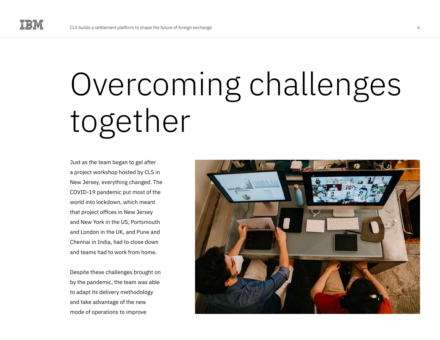# Overcoming challenges together

Just as the team began to gel after a project workshop hosted by CLS in New Jersey, everything changed. The COVID-19 pandemic put most of the world into lockdown, which meant that project offices in New Jersey and New York in the US, Portsmouth and London in the UK, and Pune and Chennai in India, had to close down and teams had to work from home.

Despite these challenges brought on by the pandemic, the team was able to adapt its delivery methodology and take advantage of the new mode of operations to improve

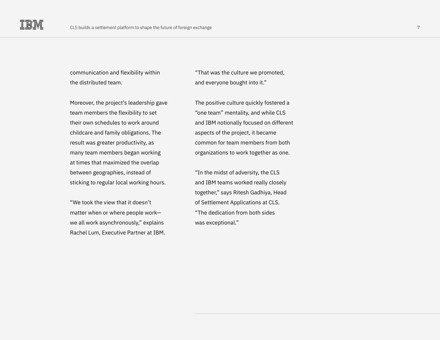communication and flexibility within the distributed team.

Moreover, the project's leadership gave team members the flexibility to set their own schedules to work around childcare and family obligations. The result was greater productivity, as many team members began working at times that maximized the overlap between geographies, instead of sticking to regular local working hours.

"We took the view that it doesn't matter when or where people work we all work asynchronously," explains Rachel Lum, Executive Partner at IBM.

"That was the culture we promoted, and everyone bought into it."

The positive culture quickly fostered a "one team" mentality, and while CLS and IBM notionally focused on different aspects of the project, it became common for team members from both organizations to work together as one.

"In the midst of adversity, the CLS and IBM teams worked really closely together," says Ritesh Gadhiya, Head of Settlement Applications at CLS. "The dedication from both sides was exceptional."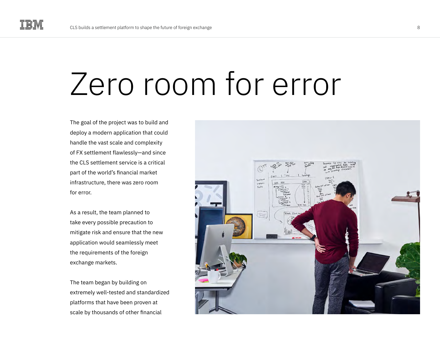### Zero room for error

The goal of the project was to build and deploy a modern application that could handle the vast scale and complexity of FX settlement flawlessly—and since the CLS settlement service is a critical part of the world's financial market infrastructure, there was zero room for error.

As a result, the team planned to take every possible precaution to mitigate risk and ensure that the new application would seamlessly meet the requirements of the foreign exchange markets.

The team began by building on extremely well-tested and standardized platforms that have been proven at scale by thousands of other financial

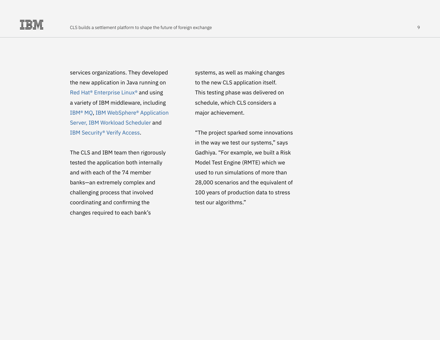services organizations. They developed the new application in Java running on [Red Hat® Enterprise Linux®](https://www.ibm.com/cloud/redhat) and using a variety of IBM middleware, including [IBM® MQ,](https://www.ibm.com/products/mq) [IBM WebSphere® Application](https://www.ibm.com/cloud/websphere-application-server)  [Server,](https://www.ibm.com/cloud/websphere-application-server) [IBM Workload Scheduler](https://www.ibm.com/products/z-workload-scheduler) and [IBM Security® Verify Access.](https://www.ibm.com/uk-en/products/verify-access)

The CLS and IBM team then rigorously tested the application both internally and with each of the 74 member banks—an extremely complex and challenging process that involved coordinating and confirming the changes required to each bank's

systems, as well as making changes to the new CLS application itself. This testing phase was delivered on schedule, which CLS considers a major achievement.

"The project sparked some innovations in the way we test our systems," says Gadhiya. "For example, we built a Risk Model Test Engine (RMTE) which we used to run simulations of more than 28,000 scenarios and the equivalent of 100 years of production data to stress test our algorithms."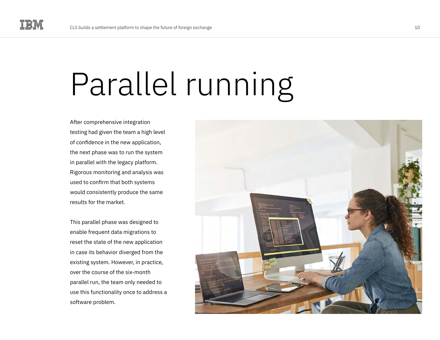# Parallel running

After comprehensive integration testing had given the team a high level of confidence in the new application, the next phase was to run the system in parallel with the legacy platform. Rigorous monitoring and analysis was used to confirm that both systems would consistently produce the same results for the market.

This parallel phase was designed to enable frequent data migrations to reset the state of the new application in case its behavior diverged from the existing system. However, in practice, over the course of the six-month parallel run, the team only needed to use this functionality once to address a software problem.

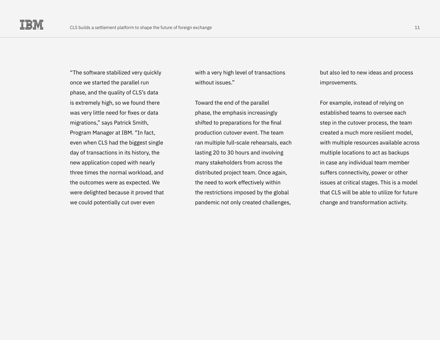"The software stabilized very quickly once we started the parallel run phase, and the quality of CLS's data is extremely high, so we found there was very little need for fixes or data migrations," says Patrick Smith, Program Manager at IBM. "In fact, even when CLS had the biggest single day of transactions in its history, the new application coped with nearly three times the normal workload, and the outcomes were as expected. We were delighted because it proved that we could potentially cut over even

with a very high level of transactions without issues."

Toward the end of the parallel phase, the emphasis increasingly shifted to preparations for the final production cutover event. The team ran multiple full-scale rehearsals, each lasting 20 to 30 hours and involving many stakeholders from across the distributed project team. Once again, the need to work effectively within the restrictions imposed by the global pandemic not only created challenges,

but also led to new ideas and process improvements.

For example, instead of relying on established teams to oversee each step in the cutover process, the team created a much more resilient model, with multiple resources available across multiple locations to act as backups in case any individual team member suffers connectivity, power or other issues at critical stages. This is a model that CLS will be able to utilize for future change and transformation activity.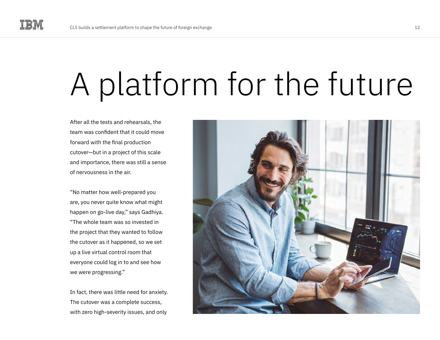## A platform for the future

After all the tests and rehearsals, the team was confident that it could move forward with the final production cutover—but in a project of this scale and importance, there was still a sense of nervousness in the air.

"No matter how well-prepared you are, you never quite know what might happen on go-live day," says Gadhiya. "The whole team was so invested in the project that they wanted to follow the cutover as it happened, so we set up a live virtual control room that everyone could log in to and see how we were progressing."

In fact, there was little need for anxiety. The cutover was a complete success, with zero high-severity issues, and only

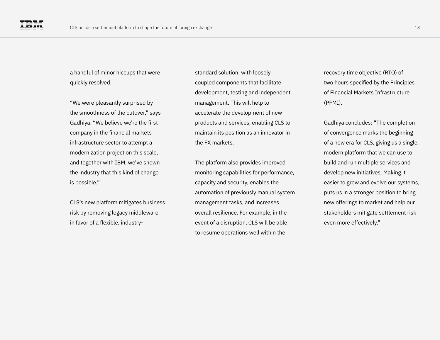a handful of minor hiccups that were quickly resolved.

"We were pleasantly surprised by the smoothness of the cutover," says Gadhiya. "We believe we're the first company in the financial markets infrastructure sector to attempt a modernization project on this scale, and together with IBM, we've shown the industry that this kind of change is possible."

CLS's new platform mitigates business risk by removing legacy middleware in favor of a flexible, industrystandard solution, with loosely coupled components that facilitate development, testing and independent management. This will help to accelerate the development of new products and services, enabling CLS to maintain its position as an innovator in the FX markets.

The platform also provides improved monitoring capabilities for performance, capacity and security, enables the automation of previously manual system management tasks, and increases overall resilience. For example, in the event of a disruption, CLS will be able to resume operations well within the

recovery time objective (RTO) of two hours specified by the Principles of Financial Markets Infrastructure (PFMI).

Gadhiya concludes: "The completion of convergence marks the beginning of a new era for CLS, giving us a single, modern platform that we can use to build and run multiple services and develop new initiatives. Making it easier to grow and evolve our systems, puts us in a stronger position to bring new offerings to market and help our stakeholders mitigate settlement risk even more effectively."